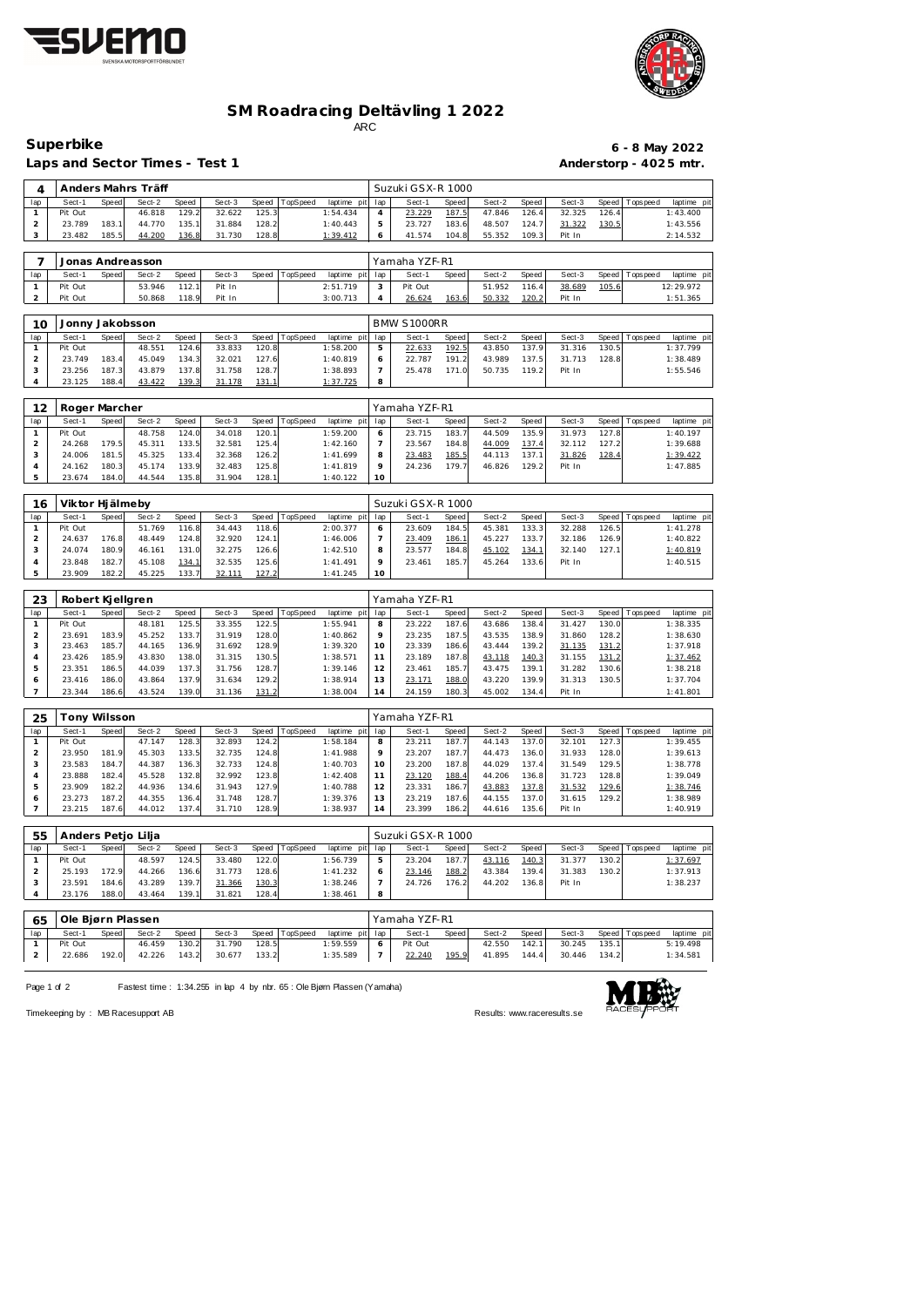



## **SM Roadracing Deltävling 1 2022** ARC

## **Superbike 6 - 8 May 2022**

| lap                      |                    |              |                  |                |                  |              |                  |                             |                |                   |       |                  |                |                  |       |                 |                         |
|--------------------------|--------------------|--------------|------------------|----------------|------------------|--------------|------------------|-----------------------------|----------------|-------------------|-------|------------------|----------------|------------------|-------|-----------------|-------------------------|
|                          | Sect-1             | Speed        | Sect-2           | Speed          | Sect-3           | Speed        | TopSpeed         | laptime pit                 | lap            | Sect-1            | Speed | Sect-2           | Speed          | Sect-3           | Speed | Tops peed       | laptime pit             |
| $\mathbf{1}$             | Pit Out            |              | 46.818           | 129.2          | 32.622           | 125.3        |                  | 1:54.434                    | $\overline{4}$ | 23.229            | 187.5 | 47.846           | 126.4          | 32.325           | 126.4 |                 | 1:43.400                |
| $\overline{c}$           | 23.789             | 183.1        | 44.770           | 135.1          | 31.884           | 128.2        |                  | 1:40.443                    | $\mathbf 5$    | 23.727            | 183.6 | 48.507           | 124.7          | 31.322           | 130.5 |                 | 1:43.556                |
| 3                        | 23.482             | 185.5        | 44.200           | 136.8          | 31.730           | 128.8        |                  | 1:39.412                    | 6              | 41.574            | 104.8 | 55.352           | 109.3          | Pit In           |       |                 | 2:14.532                |
|                          |                    |              |                  |                |                  |              |                  |                             |                |                   |       |                  |                |                  |       |                 |                         |
| 7                        |                    |              | Jonas Andreasson |                |                  |              |                  |                             |                | Yamaha YZF-R1     |       |                  |                |                  |       |                 |                         |
| lap                      | Sect-1             | <b>Speed</b> | Sect-2           | Speed          | Sect-3           | <b>Speed</b> | TopSpeed         | laptime pit                 | lap            | Sect-1            | Speed | Sect-2           | Speed          | Sect-3           | Speed | Tops peed       | laptime pit             |
| $\mathbf{1}$             | Pit Out            |              | 53.946           | 112.1          | Pit In           |              |                  | 2:51.719                    | 3              | Pit Out           |       | 51.952           | 116.4          | 38.689           | 105.6 |                 | 12:29.972               |
| $\overline{a}$           | Pit Out            |              | 50.868           | 118.9          | Pit In           |              |                  | 3:00.713                    | $\overline{4}$ | 26.624            | 163.6 | 50.332           | 120.2          | Pit In           |       |                 | 1:51.365                |
|                          |                    |              |                  |                |                  |              |                  |                             |                |                   |       |                  |                |                  |       |                 |                         |
|                          |                    |              |                  |                |                  |              |                  |                             |                |                   |       |                  |                |                  |       |                 |                         |
| 10                       | Jonny Jakobsson    |              |                  |                |                  |              |                  |                             |                | BMW S1000RR       |       |                  |                |                  |       |                 |                         |
| lap                      | Sect-1             | Speed        | Sect-2           | Speed          | Sect-3           | Speed        | TopSpeed         | laptime pit                 | lap            | Sect-1            | Speed | Sect-2           | Speed          | Sect-3           | Speed | T ops pee d     | laptime pit             |
| $\mathbf{1}$             | Pit Out            |              | 48.551           | 124.6          | 33.833           | 120.8        |                  | 1:58.200                    | 5              | 22.633            | 192.5 | 43.850           | 137.9          | 31.316           | 130.5 |                 | 1:37.799                |
| $\overline{c}$           | 23.749             | 183.4        | 45.049           | 134.3          | 32.021           | 127.6        |                  | 1:40.819                    | 6              | 22.787            | 191.2 | 43.989           | 137.5          | 31.713           | 128.8 |                 | 1:38.489                |
| 3                        | 23.256             | 187.3        | 43.879           | 137.8          | 31.758           | 128.7        |                  | 1:38.893                    | $\overline{7}$ | 25.478            | 171.0 | 50.735           | 119.2          | Pit In           |       |                 | 1:55.546                |
| $\overline{4}$           | 23.125             | 188.4        | 43.422           | 139.3          | 31.178           | 131.1        |                  | 1:37.725                    | 8              |                   |       |                  |                |                  |       |                 |                         |
|                          |                    |              |                  |                |                  |              |                  |                             |                |                   |       |                  |                |                  |       |                 |                         |
| 12                       | Roger Marcher      |              |                  |                |                  |              |                  |                             |                | Yamaha YZF-R1     |       |                  |                |                  |       |                 |                         |
|                          | Sect-1             |              |                  |                |                  |              |                  |                             |                |                   |       |                  |                |                  |       |                 |                         |
| lap                      |                    | Speed        | Sect-2           | Speed          | Sect-3           | Speed        | TopSpeed         | laptime pit                 | lap            | Sect-1            | Speed | Sect-2           | Speed          | Sect-3           | Speed | Tops peed       | laptime pit             |
| $\mathbf{1}$             | Pit Out            |              | 48.758           | 124.0          | 34.018           | 120.1        |                  | 1:59.200                    | 6              | 23.715            | 183.7 | 44.509           | 135.9          | 31.973           | 127.8 |                 | 1:40.197                |
| $\overline{c}$           | 24.268             | 179.5        | 45.311           | 133.5          | 32.581           | 125.4        |                  | 1:42.160                    | $\overline{7}$ | 23.567            | 184.8 | 44.009           | 137.4          | 32.112           | 127.2 |                 | 1:39.688                |
| 3                        | 24.006             | 181.5        | 45.325           | 133.4          | 32.368           | 126.2        |                  | 1:41.699                    | 8              | 23.483            | 185.5 | 44.113           | 137.1          | 31.826           | 128.4 |                 | 1:39.422                |
| $\overline{4}$           | 24.162             | 180.3        | 45.174           | 133.9          | 32.483           | 125.8        |                  | 1:41.819                    | 9              | 24.236            | 179.7 | 46.826           | 129.2          | Pit In           |       |                 | 1:47.885                |
| 5                        | 23.674             | 184.0        | 44.544           | 135.8          | 31.904           | 128.1        |                  | 1:40.122                    | 10             |                   |       |                  |                |                  |       |                 |                         |
|                          |                    |              |                  |                |                  |              |                  |                             |                |                   |       |                  |                |                  |       |                 |                         |
| 16                       | Viktor Hjälmeby    |              |                  |                |                  |              |                  |                             |                | Suzuki GSX-R 1000 |       |                  |                |                  |       |                 |                         |
| lap                      | Sect-1             | Speed        | Sect-2           | Speed          | Sect-3           | Speed        | TopSpeed         | laptime pit                 | lap            | Sect-1            | Speed | Sect-2           | Speed          | Sect-3           | Speed | Tops peed       | laptime pit             |
| $\mathbf{1}$             | Pit Out            |              | 51.769           | 116.8          | 34.443           | 118.6        |                  | 2:00.377                    | 6              | 23.609            | 184.5 | 45.381           | 133.3          | 32.288           | 126.5 |                 | 1:41.278                |
| $\overline{c}$           | 24.637             | 176.8        | 48.449           | 124.8          | 32.920           | 124.1        |                  | 1:46.006                    | $\overline{7}$ | 23.409            | 186.1 | 45.227           | 133.7          | 32.186           | 126.9 |                 | 1:40.822                |
| 3                        | 24.074             | 180.9        | 46.161           | 131.0          | 32.275           | 126.6        |                  | 1:42.510                    | 8              | 23.577            | 184.8 | 45.102           | 134.1          | 32.140           | 127.1 |                 | 1:40.819                |
| $\overline{4}$           | 23.848             | 182.7        | 45.108           | 134.1          | 32.535           | 125.6        |                  | 1:41.491                    | 9              | 23.461            | 185.7 | 45.264           | 133.6          | Pit In           |       |                 | 1:40.515                |
| 5                        | 23.909             | 182.2        | 45.225           | 133.7          | 32.111           | 127.2        |                  | 1:41.245                    | 10             |                   |       |                  |                |                  |       |                 |                         |
|                          |                    |              |                  |                |                  |              |                  |                             |                |                   |       |                  |                |                  |       |                 |                         |
|                          |                    |              |                  |                |                  |              |                  |                             |                |                   |       |                  |                |                  |       |                 |                         |
| 23                       | Robert Kjellgren   |              |                  |                |                  |              |                  |                             |                | Yamaha YZF-R1     |       |                  |                |                  |       |                 |                         |
|                          |                    |              |                  |                |                  |              | TopSpeed         | laptime pit                 |                |                   | Speed | Sect-2           | Speed          |                  |       | <b>Topspeed</b> | laptime pit             |
| lap                      | Sect-1             | Speed        | Sect-2           | Speed          | Sect-3           | Speed        |                  |                             | lap            | Sect-1            |       |                  |                | Sect-3           | Speed |                 |                         |
| $\mathbf{1}$             | Pit Out            |              | 48.181           | 125.5          | 33.355           | 122.5        |                  | 1:55.941                    | 8              | 23.222            | 187.6 | 43.686           | 138.4          | 31.427           | 130.0 |                 | 1:38.335                |
| $\overline{c}$           | 23.691             | 183.9        | 45.252           | 133.7          | 31.919           | 128.0        |                  | 1:40.862                    | 9              | 23.235            | 187.5 | 43.535           | 138.9          | 31.860           | 128.2 |                 | 1:38.630                |
| 3                        | 23.463             | 185.7        | 44.165           | 136.9          | 31.692           | 128.9        |                  | 1:39.320                    | 10             | 23.339            | 186.6 | 43.444           | 139.2          | 31.135           | 131.2 |                 | 1:37.918                |
| $\overline{4}$           | 23.426             | 185.9        | 43.830           | 138.0          | 31.315           | 130.5        |                  | 1:38.571                    | 11             | 23.189            | 187.8 | 43.118           | 140.3          | 31.155           | 131.2 |                 | 1:37.462                |
| 5                        | 23.351             | 186.5        | 44.039           | 137.3          | 31.756           | 128.7        |                  | 1:39.146                    | 12             | 23.461            | 185.7 | 43.475           | 139.1          | 31.282           | 130.6 |                 | 1:38.218                |
| 6                        | 23.416             | 186.0        | 43.864           | 137.9          | 31.634           | 129.2        |                  | 1:38.914                    | 13             | 23.171            | 188.0 | 43.220           | 139.9          | 31.313           | 130.5 |                 | 1:37.704                |
| $\overline{7}$           | 23.344             | 186.6        | 43.524           | 139.0          | 31.136           | 131.2        |                  | 1:38.004                    | 14             | 24.159            | 180.3 | 45.002           | 134.4          | Pit In           |       |                 | 1:41.801                |
|                          |                    |              |                  |                |                  |              |                  |                             |                |                   |       |                  |                |                  |       |                 |                         |
|                          |                    |              |                  |                |                  |              |                  |                             |                |                   |       |                  |                |                  |       |                 |                         |
| 25                       | Tony Wilsson       |              |                  |                |                  |              |                  |                             |                | Yamaha YZF-R1     |       |                  |                |                  |       |                 |                         |
| lap                      | Sect-1             | Speed        | Sect-2           | Speed          | Sect-3           | Speed        | TopSpeed         | laptime pit                 | lap            | Sect-1            | Speed | Sect-2           | Speed          | Sect-3           | Speed | Tops peed       | laptime pit             |
| $\mathbf{1}$             | Pit Out            |              | 47.147           | 128.3          | 32.893           | 124.2        |                  | 1:58.184                    | 8              | 23.211            | 187.7 | 44.143           | 137.0          | 32.101           | 127.3 |                 | 1:39.455                |
| $\overline{a}$           | 23.950             | 181.9        | 45.303           | 133.5          | 32.735           | 124.8        |                  | 1:41.988                    | 9              | 23.207            | 187.7 | 44.473           | 136.0          | 31.933           | 128.0 |                 | 1:39.613                |
| 3                        | 23.583             | 184.7        | 44.387           | 136.3          | 32.733           | 124.8        |                  | 1:40.703                    | 10             | 23.200            | 187.8 | 44.029           | 137.4          | 31.549           | 129.5 |                 | 1:38.778                |
| $\overline{4}$           | 23.888             | 182.4        | 45.528           | 132.8          | 32.992           | 123.8        |                  | 1:42.408                    | 11             | 23.120            | 188.4 | 44.206           | 136.8          | 31.723           | 128.8 |                 | 1:39.049                |
| 5                        | 23.909             | 182.2        | 44.936           | 134.6          | 31.943           | 127.9        |                  | 1:40.788                    | 12             | 23.331            | 186.7 | 43.883           | 137.8          | 31.532           | 129.6 |                 | 1:38.746                |
| 6                        | 23.273             | 187.2        | 44.355           | 136.4          | 31.748           | 128.7        |                  | 1:39.376                    | 13             | 23.219            | 187.6 | 44.155           | 137.0          | 31.615           | 129.2 |                 | 1:38.989                |
| $\overline{\phantom{a}}$ | 23.215             | 187.6        | 44.012           | 137.4          | 31.710           | 128.9        |                  | 1:38.937                    | 14             | 23.399            | 186.2 | 44.616           | 135.6          | Pit In           |       |                 | 1:40.919                |
|                          |                    |              |                  |                |                  |              |                  |                             |                |                   |       |                  |                |                  |       |                 |                         |
| 55                       | Anders Petjo Lilja |              |                  |                |                  |              |                  |                             |                | Suzuki GSX-R 1000 |       |                  |                |                  |       |                 |                         |
| lap                      | Sect-1             | Speed        | Sect-2           | Speed          | Sect-3           | Speed        | TopSpeed         | laptime pit                 | lap            | Sect-1            | Speed | Sect-2           | Speed          | Sect-3           | Speed | T ops pee d     | laptime pit             |
| $\mathbf{1}$             | Pit Out            |              | 48.597           | 124.5          | 33.480           | 122.0        |                  | 1:56.739                    | 5              | 23.204            | 187.7 | 43.116           | 140.3          | 31.377           | 130.2 |                 | 1:37.697                |
| $\overline{a}$           | 25.193             | 172.9        | 44.266           | 136.6          | 31.773           | 128.6        |                  | 1:41.232                    | 6              | 23.146            | 188.2 | 43.384           | 139.4          | 31.383           | 130.2 |                 | 1:37.913                |
| 3                        | 23.591             | 184.6        | 43.289           | 139.7          | 31.366           | 130.3        |                  | 1:38.246                    | $\overline{7}$ | 24.726            | 176.2 | 44.202           | 136.8          | Pit In           |       |                 | 1:38.237                |
| $\overline{4}$           | 23.176             | 188.0        | 43.464           | 139.1          | 31.821           | 128.4        |                  | 1:38.461                    | 8              |                   |       |                  |                |                  |       |                 |                         |
|                          |                    |              |                  |                |                  |              |                  |                             |                |                   |       |                  |                |                  |       |                 |                         |
|                          |                    |              |                  |                |                  |              |                  |                             |                |                   |       |                  |                |                  |       |                 |                         |
| 65                       | Ole Bjørn Plassen  |              |                  |                |                  |              |                  |                             |                | Yamaha YZF-R1     |       |                  |                |                  |       |                 |                         |
| lap<br>1                 | Sect-1<br>Pit Out  | Speed        | Sect-2<br>46.459 | Speed<br>130.2 | Sect-3<br>31.790 | 128.5        | Speed   TopSpeed | laptime pit lap<br>1:59.559 | 6              | Sect-1<br>Pit Out | Speed | Sect-2<br>42.550 | Speed<br>142.1 | Sect-3<br>30.245 | 135.1 | Speed Topspeed  | laptime pit<br>5:19.498 |

Page 1 of 2 Fastest time : 1:34.255 in lap 4 by nbr. 65 : Ole Bjørn Plassen (Yamaha)

22.686 192.0 42.226 143.2 30.677 133.2 1:35.589



22.240 195.9 41.895 144.4 30.446 134.2 1:34.581

Timekeeping by : MB Racesupport AB Results:<www.raceresults.se>

Laps and Sector Times - Test 1 **Anderstorp - 4025 mtr.** 

Anders Mahrs Träff Suzuki GSX-R 1000